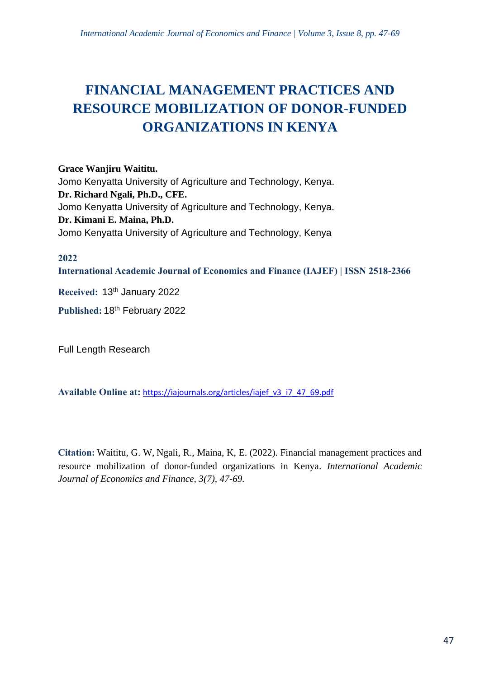# **FINANCIAL MANAGEMENT PRACTICES AND RESOURCE MOBILIZATION OF DONOR-FUNDED ORGANIZATIONS IN KENYA**

**Grace Wanjiru Waititu.** Jomo Kenyatta University of Agriculture and Technology, Kenya. **Dr. Richard Ngali, Ph.D., CFE.** Jomo Kenyatta University of Agriculture and Technology, Kenya. **Dr. Kimani E. Maina, Ph.D.** Jomo Kenyatta University of Agriculture and Technology, Kenya

**2022**

**International Academic Journal of Economics and Finance (IAJEF) | ISSN 2518-2366**

**Received:** 13 th January 2022

Published: 18<sup>th</sup> February 2022

Full Length Research

**Available Online at:** [https://iajournals.org/articles/iajef\\_v3\\_i7\\_47\\_69.pdf](https://iajournals.org/articles/iajef_v3_i7_47_69.pdf)

**Citation:** Waititu, G. W, Ngali, R., Maina, K, E. (2022). Financial management practices and resource mobilization of donor-funded organizations in Kenya. *International Academic Journal of Economics and Finance, 3(7), 47-69.*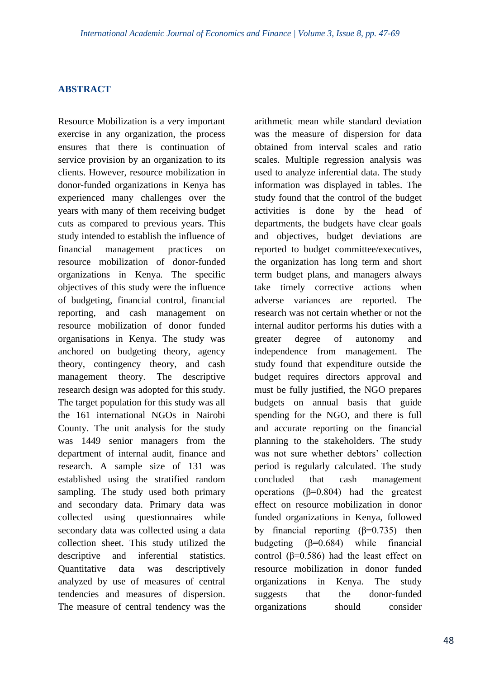# **ABSTRACT**

Resource Mobilization is a very important exercise in any organization, the process ensures that there is continuation of service provision by an organization to its clients. However, resource mobilization in donor-funded organizations in Kenya has experienced many challenges over the years with many of them receiving budget cuts as compared to previous years. This study intended to establish the influence of financial management practices on resource mobilization of donor-funded organizations in Kenya. The specific objectives of this study were the influence of budgeting, financial control, financial reporting, and cash management on resource mobilization of donor funded organisations in Kenya. The study was anchored on budgeting theory, agency theory, contingency theory, and cash management theory. The descriptive research design was adopted for this study. The target population for this study was all the 161 international NGOs in Nairobi County. The unit analysis for the study was 1449 senior managers from the department of internal audit, finance and research. A sample size of 131 was established using the stratified random sampling. The study used both primary and secondary data. Primary data was collected using questionnaires while secondary data was collected using a data collection sheet. This study utilized the descriptive and inferential statistics. Quantitative data was descriptively analyzed by use of measures of central tendencies and measures of dispersion. The measure of central tendency was the

arithmetic mean while standard deviation was the measure of dispersion for data obtained from interval scales and ratio scales. Multiple regression analysis was used to analyze inferential data. The study information was displayed in tables. The study found that the control of the budget activities is done by the head of departments, the budgets have clear goals and objectives, budget deviations are reported to budget committee/executives, the organization has long term and short term budget plans, and managers always take timely corrective actions when adverse variances are reported. The research was not certain whether or not the internal auditor performs his duties with a greater degree of autonomy and independence from management. The study found that expenditure outside the budget requires directors approval and must be fully justified, the NGO prepares budgets on annual basis that guide spending for the NGO, and there is full and accurate reporting on the financial planning to the stakeholders. The study was not sure whether debtors' collection period is regularly calculated. The study concluded that cash management operations (β=0.804) had the greatest effect on resource mobilization in donor funded organizations in Kenya, followed by financial reporting  $(β=0.735)$  then budgeting  $(β=0.684)$  while financial control ( $β=0.586$ ) had the least effect on resource mobilization in donor funded organizations in Kenya. The study suggests that the donor-funded organizations should consider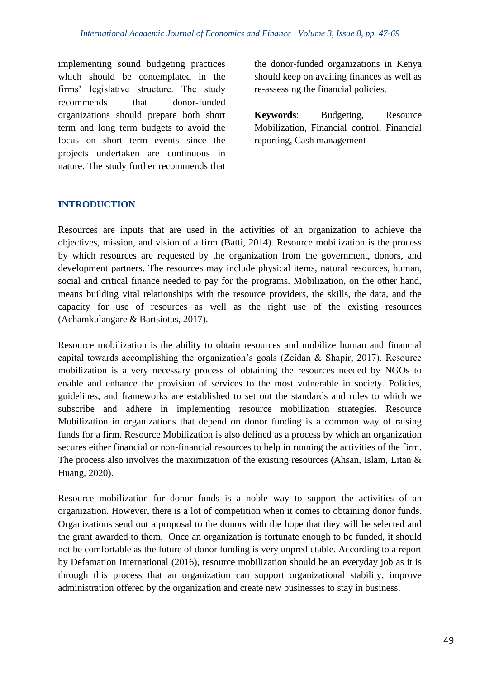implementing sound budgeting practices which should be contemplated in the firms' legislative structure. The study recommends that donor-funded organizations should prepare both short term and long term budgets to avoid the focus on short term events since the projects undertaken are continuous in nature. The study further recommends that the donor-funded organizations in Kenya should keep on availing finances as well as re-assessing the financial policies.

**Keywords**: Budgeting, Resource Mobilization, Financial control, Financial reporting, Cash management

# **INTRODUCTION**

Resources are inputs that are used in the activities of an organization to achieve the objectives, mission, and vision of a firm (Batti, 2014). Resource mobilization is the process by which resources are requested by the organization from the government, donors, and development partners. The resources may include physical items, natural resources, human, social and critical finance needed to pay for the programs. Mobilization, on the other hand, means building vital relationships with the resource providers, the skills, the data, and the capacity for use of resources as well as the right use of the existing resources (Achamkulangare & Bartsiotas, 2017).

Resource mobilization is the ability to obtain resources and mobilize human and financial capital towards accomplishing the organization's goals (Zeidan & Shapir, 2017). Resource mobilization is a very necessary process of obtaining the resources needed by NGOs to enable and enhance the provision of services to the most vulnerable in society. Policies, guidelines, and frameworks are established to set out the standards and rules to which we subscribe and adhere in implementing resource mobilization strategies. Resource Mobilization in organizations that depend on donor funding is a common way of raising funds for a firm. Resource Mobilization is also defined as a process by which an organization secures either financial or non-financial resources to help in running the activities of the firm. The process also involves the maximization of the existing resources (Ahsan, Islam, Litan & Huang, 2020).

Resource mobilization for donor funds is a noble way to support the activities of an organization. However, there is a lot of competition when it comes to obtaining donor funds. Organizations send out a proposal to the donors with the hope that they will be selected and the grant awarded to them. Once an organization is fortunate enough to be funded, it should not be comfortable as the future of donor funding is very unpredictable. According to a report by Defamation International (2016), resource mobilization should be an everyday job as it is through this process that an organization can support organizational stability, improve administration offered by the organization and create new businesses to stay in business.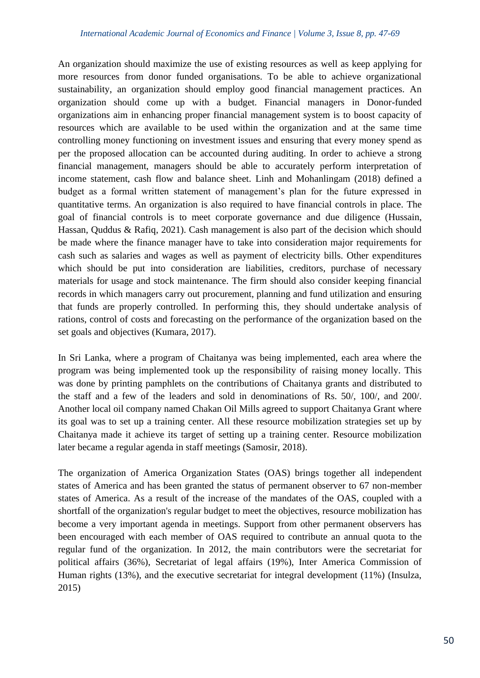An organization should maximize the use of existing resources as well as keep applying for more resources from donor funded organisations. To be able to achieve organizational sustainability, an organization should employ good financial management practices. An organization should come up with a budget. Financial managers in Donor-funded organizations aim in enhancing proper financial management system is to boost capacity of resources which are available to be used within the organization and at the same time controlling money functioning on investment issues and ensuring that every money spend as per the proposed allocation can be accounted during auditing. In order to achieve a strong financial management, managers should be able to accurately perform interpretation of income statement, cash flow and balance sheet. Linh and Mohanlingam (2018) defined a budget as a formal written statement of management's plan for the future expressed in quantitative terms. An organization is also required to have financial controls in place. The goal of financial controls is to meet corporate governance and due diligence (Hussain, Hassan, Quddus & Rafiq, 2021). Cash management is also part of the decision which should be made where the finance manager have to take into consideration major requirements for cash such as salaries and wages as well as payment of electricity bills. Other expenditures which should be put into consideration are liabilities, creditors, purchase of necessary materials for usage and stock maintenance. The firm should also consider keeping financial records in which managers carry out procurement, planning and fund utilization and ensuring that funds are properly controlled. In performing this, they should undertake analysis of rations, control of costs and forecasting on the performance of the organization based on the set goals and objectives (Kumara, 2017).

In Sri Lanka, where a program of Chaitanya was being implemented, each area where the program was being implemented took up the responsibility of raising money locally. This was done by printing pamphlets on the contributions of Chaitanya grants and distributed to the staff and a few of the leaders and sold in denominations of Rs. 50/, 100/, and 200/. Another local oil company named Chakan Oil Mills agreed to support Chaitanya Grant where its goal was to set up a training center. All these resource mobilization strategies set up by Chaitanya made it achieve its target of setting up a training center. Resource mobilization later became a regular agenda in staff meetings (Samosir, 2018).

The organization of America Organization States (OAS) brings together all independent states of America and has been granted the status of permanent observer to 67 non-member states of America. As a result of the increase of the mandates of the OAS, coupled with a shortfall of the organization's regular budget to meet the objectives, resource mobilization has become a very important agenda in meetings. Support from other permanent observers has been encouraged with each member of OAS required to contribute an annual quota to the regular fund of the organization. In 2012, the main contributors were the secretariat for political affairs (36%), Secretariat of legal affairs (19%), Inter America Commission of Human rights (13%), and the executive secretariat for integral development (11%) (Insulza, 2015)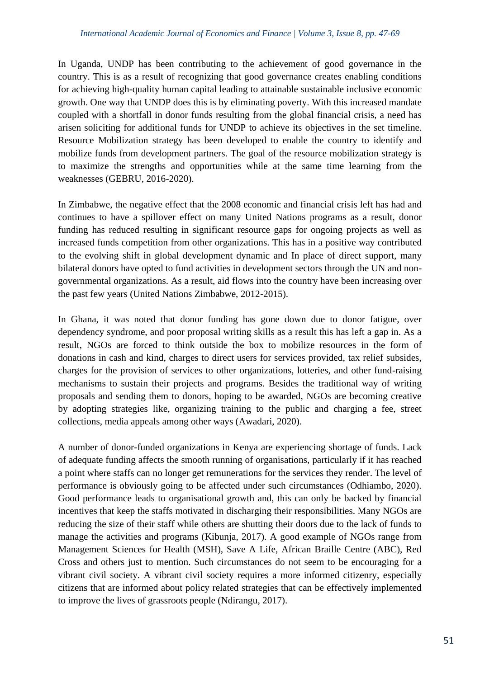In Uganda, UNDP has been contributing to the achievement of good governance in the country. This is as a result of recognizing that good governance creates enabling conditions for achieving high-quality human capital leading to attainable sustainable inclusive economic growth. One way that UNDP does this is by eliminating poverty. With this increased mandate coupled with a shortfall in donor funds resulting from the global financial crisis, a need has arisen soliciting for additional funds for UNDP to achieve its objectives in the set timeline. Resource Mobilization strategy has been developed to enable the country to identify and mobilize funds from development partners. The goal of the resource mobilization strategy is to maximize the strengths and opportunities while at the same time learning from the weaknesses (GEBRU, 2016-2020).

In Zimbabwe, the negative effect that the 2008 economic and financial crisis left has had and continues to have a spillover effect on many United Nations programs as a result, donor funding has reduced resulting in significant resource gaps for ongoing projects as well as increased funds competition from other organizations. This has in a positive way contributed to the evolving shift in global development dynamic and In place of direct support, many bilateral donors have opted to fund activities in development sectors through the UN and nongovernmental organizations. As a result, aid flows into the country have been increasing over the past few years (United Nations Zimbabwe, 2012-2015).

In Ghana, it was noted that donor funding has gone down due to donor fatigue, over dependency syndrome, and poor proposal writing skills as a result this has left a gap in. As a result, NGOs are forced to think outside the box to mobilize resources in the form of donations in cash and kind, charges to direct users for services provided, tax relief subsides, charges for the provision of services to other organizations, lotteries, and other fund-raising mechanisms to sustain their projects and programs. Besides the traditional way of writing proposals and sending them to donors, hoping to be awarded, NGOs are becoming creative by adopting strategies like, organizing training to the public and charging a fee, street collections, media appeals among other ways (Awadari, 2020).

A number of donor-funded organizations in Kenya are experiencing shortage of funds. Lack of adequate funding affects the smooth running of organisations, particularly if it has reached a point where staffs can no longer get remunerations for the services they render. The level of performance is obviously going to be affected under such circumstances (Odhiambo, 2020). Good performance leads to organisational growth and, this can only be backed by financial incentives that keep the staffs motivated in discharging their responsibilities. Many NGOs are reducing the size of their staff while others are shutting their doors due to the lack of funds to manage the activities and programs (Kibunja, 2017). A good example of NGOs range from Management Sciences for Health (MSH), Save A Life, African Braille Centre (ABC), Red Cross and others just to mention. Such circumstances do not seem to be encouraging for a vibrant civil society. A vibrant civil society requires a more informed citizenry, especially citizens that are informed about policy related strategies that can be effectively implemented to improve the lives of grassroots people (Ndirangu, 2017).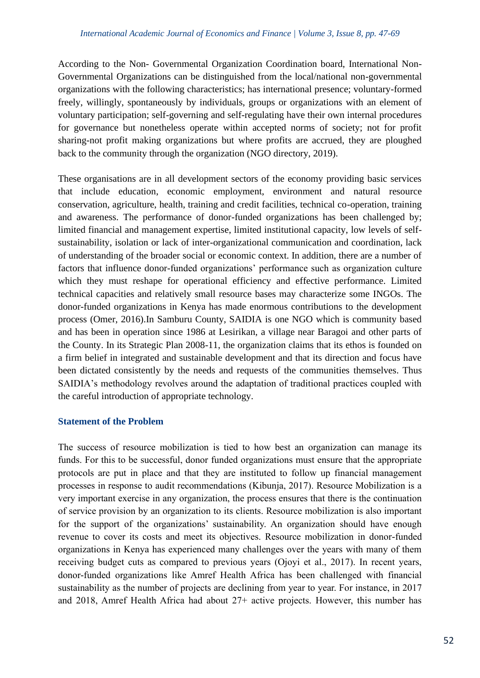According to the Non- Governmental Organization Coordination board, International Non-Governmental Organizations can be distinguished from the local/national non-governmental organizations with the following characteristics; has international presence; voluntary-formed freely, willingly, spontaneously by individuals, groups or organizations with an element of voluntary participation; self-governing and self-regulating have their own internal procedures for governance but nonetheless operate within accepted norms of society; not for profit sharing-not profit making organizations but where profits are accrued, they are ploughed back to the community through the organization (NGO directory, 2019).

These organisations are in all development sectors of the economy providing basic services that include education, economic employment, environment and natural resource conservation, agriculture, health, training and credit facilities, technical co-operation, training and awareness. The performance of donor-funded organizations has been challenged by; limited financial and management expertise, limited institutional capacity, low levels of selfsustainability, isolation or lack of inter-organizational communication and coordination, lack of understanding of the broader social or economic context. In addition, there are a number of factors that influence donor-funded organizations' performance such as organization culture which they must reshape for operational efficiency and effective performance. Limited technical capacities and relatively small resource bases may characterize some INGOs. The donor-funded organizations in Kenya has made enormous contributions to the development process (Omer, 2016).In Samburu County, SAIDIA is one NGO which is community based and has been in operation since 1986 at Lesirikan, a village near Baragoi and other parts of the County. In its Strategic Plan 2008-11, the organization claims that its ethos is founded on a firm belief in integrated and sustainable development and that its direction and focus have been dictated consistently by the needs and requests of the communities themselves. Thus SAIDIA's methodology revolves around the adaptation of traditional practices coupled with the careful introduction of appropriate technology.

## **Statement of the Problem**

The success of resource mobilization is tied to how best an organization can manage its funds. For this to be successful, donor funded organizations must ensure that the appropriate protocols are put in place and that they are instituted to follow up financial management processes in response to audit recommendations (Kibunja, 2017). Resource Mobilization is a very important exercise in any organization, the process ensures that there is the continuation of service provision by an organization to its clients. Resource mobilization is also important for the support of the organizations' sustainability. An organization should have enough revenue to cover its costs and meet its objectives. Resource mobilization in donor-funded organizations in Kenya has experienced many challenges over the years with many of them receiving budget cuts as compared to previous years (Ojoyi et al., 2017). In recent years, donor-funded organizations like Amref Health Africa has been challenged with financial sustainability as the number of projects are declining from year to year. For instance, in 2017 and 2018, Amref Health Africa had about 27+ active projects. However, this number has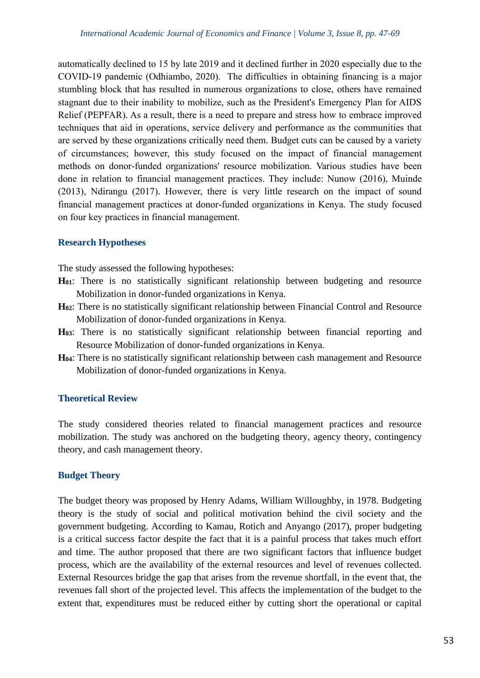automatically declined to 15 by late 2019 and it declined further in 2020 especially due to the COVID-19 pandemic (Odhiambo, 2020). The difficulties in obtaining financing is a major stumbling block that has resulted in numerous organizations to close, others have remained stagnant due to their inability to mobilize, such as the President's Emergency Plan for AIDS Relief (PEPFAR). As a result, there is a need to prepare and stress how to embrace improved techniques that aid in operations, service delivery and performance as the communities that are served by these organizations critically need them. Budget cuts can be caused by a variety of circumstances; however, this study focused on the impact of financial management methods on donor-funded organizations' resource mobilization. Various studies have been done in relation to financial management practices. They include: Nunow (2016), Muinde (2013), Ndirangu (2017). However, there is very little research on the impact of sound financial management practices at donor-funded organizations in Kenya. The study focused on four key practices in financial management.

#### **Research Hypotheses**

The study assessed the following hypotheses:

- **H01**: There is no statistically significant relationship between budgeting and resource Mobilization in donor-funded organizations in Kenya.
- **H02**: There is no statistically significant relationship between Financial Control and Resource Mobilization of donor-funded organizations in Kenya.
- **H03**: There is no statistically significant relationship between financial reporting and Resource Mobilization of donor-funded organizations in Kenya.
- **H04**: There is no statistically significant relationship between cash management and Resource Mobilization of donor-funded organizations in Kenya.

## **Theoretical Review**

The study considered theories related to financial management practices and resource mobilization. The study was anchored on the budgeting theory, agency theory, contingency theory, and cash management theory.

## **Budget Theory**

The budget theory was proposed by Henry Adams, William Willoughby, in 1978. Budgeting theory is the study of social and political motivation behind the civil society and the government budgeting. According to Kamau, Rotich and Anyango (2017), proper budgeting is a critical success factor despite the fact that it is a painful process that takes much effort and time. The author proposed that there are two significant factors that influence budget process, which are the availability of the external resources and level of revenues collected. External Resources bridge the gap that arises from the revenue shortfall, in the event that, the revenues fall short of the projected level. This affects the implementation of the budget to the extent that, expenditures must be reduced either by cutting short the operational or capital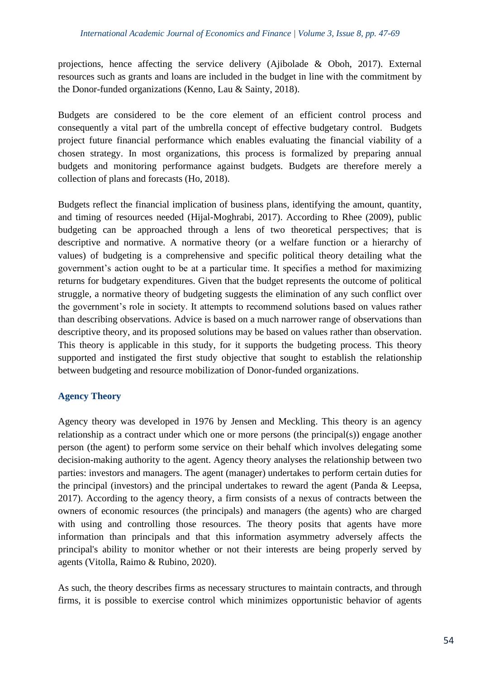projections, hence affecting the service delivery (Ajibolade & Oboh, 2017). External resources such as grants and loans are included in the budget in line with the commitment by the Donor-funded organizations (Kenno, Lau & Sainty, 2018).

Budgets are considered to be the core element of an efficient control process and consequently a vital part of the umbrella concept of effective budgetary control. Budgets project future financial performance which enables evaluating the financial viability of a chosen strategy. In most organizations, this process is formalized by preparing annual budgets and monitoring performance against budgets. Budgets are therefore merely a collection of plans and forecasts (Ho, 2018).

Budgets reflect the financial implication of business plans, identifying the amount, quantity, and timing of resources needed (Hijal-Moghrabi, 2017). According to Rhee (2009), public budgeting can be approached through a lens of two theoretical perspectives; that is descriptive and normative. A normative theory (or a welfare function or a hierarchy of values) of budgeting is a comprehensive and specific political theory detailing what the government's action ought to be at a particular time. It specifies a method for maximizing returns for budgetary expenditures. Given that the budget represents the outcome of political struggle, a normative theory of budgeting suggests the elimination of any such conflict over the government's role in society. It attempts to recommend solutions based on values rather than describing observations. Advice is based on a much narrower range of observations than descriptive theory, and its proposed solutions may be based on values rather than observation. This theory is applicable in this study, for it supports the budgeting process. This theory supported and instigated the first study objective that sought to establish the relationship between budgeting and resource mobilization of Donor-funded organizations.

# **Agency Theory**

Agency theory was developed in 1976 by Jensen and Meckling. This theory is an agency relationship as a contract under which one or more persons (the principal(s)) engage another person (the agent) to perform some service on their behalf which involves delegating some decision-making authority to the agent. Agency theory analyses the relationship between two parties: investors and managers. The agent (manager) undertakes to perform certain duties for the principal (investors) and the principal undertakes to reward the agent (Panda & Leepsa, 2017). According to the agency theory, a firm consists of a nexus of contracts between the owners of economic resources (the principals) and managers (the agents) who are charged with using and controlling those resources. The theory posits that agents have more information than principals and that this information asymmetry adversely affects the principal's ability to monitor whether or not their interests are being properly served by agents (Vitolla, Raimo & Rubino, 2020).

As such, the theory describes firms as necessary structures to maintain contracts, and through firms, it is possible to exercise control which minimizes opportunistic behavior of agents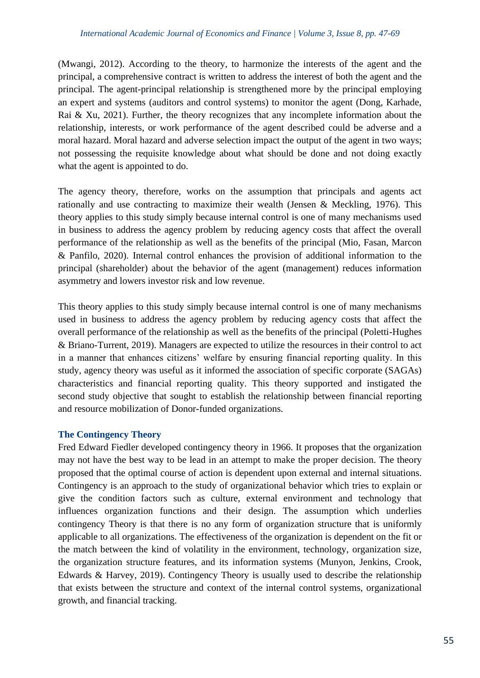(Mwangi, 2012). According to the theory, to harmonize the interests of the agent and the principal, a comprehensive contract is written to address the interest of both the agent and the principal. The agent-principal relationship is strengthened more by the principal employing an expert and systems (auditors and control systems) to monitor the agent (Dong, Karhade, Rai & Xu, 2021). Further, the theory recognizes that any incomplete information about the relationship, interests, or work performance of the agent described could be adverse and a moral hazard. Moral hazard and adverse selection impact the output of the agent in two ways; not possessing the requisite knowledge about what should be done and not doing exactly what the agent is appointed to do.

The agency theory, therefore, works on the assumption that principals and agents act rationally and use contracting to maximize their wealth (Jensen & Meckling, 1976). This theory applies to this study simply because internal control is one of many mechanisms used in business to address the agency problem by reducing agency costs that affect the overall performance of the relationship as well as the benefits of the principal (Mio, Fasan, Marcon & Panfilo, 2020). Internal control enhances the provision of additional information to the principal (shareholder) about the behavior of the agent (management) reduces information asymmetry and lowers investor risk and low revenue.

This theory applies to this study simply because internal control is one of many mechanisms used in business to address the agency problem by reducing agency costs that affect the overall performance of the relationship as well as the benefits of the principal (Poletti-Hughes & Briano-Turrent, 2019). Managers are expected to utilize the resources in their control to act in a manner that enhances citizens' welfare by ensuring financial reporting quality. In this study, agency theory was useful as it informed the association of specific corporate (SAGAs) characteristics and financial reporting quality. This theory supported and instigated the second study objective that sought to establish the relationship between financial reporting and resource mobilization of Donor-funded organizations.

## **The Contingency Theory**

Fred Edward Fiedler developed contingency theory in 1966. It proposes that the organization may not have the best way to be lead in an attempt to make the proper decision. The theory proposed that the optimal course of action is dependent upon external and internal situations. Contingency is an approach to the study of organizational behavior which tries to explain or give the condition factors such as culture, external environment and technology that influences organization functions and their design. The assumption which underlies contingency Theory is that there is no any form of organization structure that is uniformly applicable to all organizations. The effectiveness of the organization is dependent on the fit or the match between the kind of volatility in the environment, technology, organization size, the organization structure features, and its information systems (Munyon, Jenkins, Crook, Edwards & Harvey, 2019). Contingency Theory is usually used to describe the relationship that exists between the structure and context of the internal control systems, organizational growth, and financial tracking.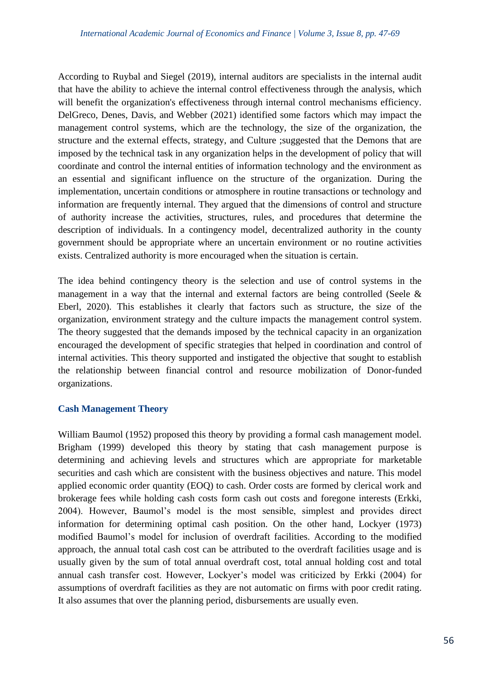According to Ruybal and Siegel (2019), internal auditors are specialists in the internal audit that have the ability to achieve the internal control effectiveness through the analysis, which will benefit the organization's effectiveness through internal control mechanisms efficiency. DelGreco, Denes, Davis, and Webber (2021) identified some factors which may impact the management control systems, which are the technology, the size of the organization, the structure and the external effects, strategy, and Culture ;suggested that the Demons that are imposed by the technical task in any organization helps in the development of policy that will coordinate and control the internal entities of information technology and the environment as an essential and significant influence on the structure of the organization. During the implementation, uncertain conditions or atmosphere in routine transactions or technology and information are frequently internal. They argued that the dimensions of control and structure of authority increase the activities, structures, rules, and procedures that determine the description of individuals. In a contingency model, decentralized authority in the county government should be appropriate where an uncertain environment or no routine activities exists. Centralized authority is more encouraged when the situation is certain.

The idea behind contingency theory is the selection and use of control systems in the management in a way that the internal and external factors are being controlled (Seele  $\&$ Eberl, 2020). This establishes it clearly that factors such as structure, the size of the organization, environment strategy and the culture impacts the management control system. The theory suggested that the demands imposed by the technical capacity in an organization encouraged the development of specific strategies that helped in coordination and control of internal activities. This theory supported and instigated the objective that sought to establish the relationship between financial control and resource mobilization of Donor-funded organizations.

## **Cash Management Theory**

William Baumol (1952) proposed this theory by providing a formal cash management model. Brigham (1999) developed this theory by stating that cash management purpose is determining and achieving levels and structures which are appropriate for marketable securities and cash which are consistent with the business objectives and nature. This model applied economic order quantity (EOQ) to cash. Order costs are formed by clerical work and brokerage fees while holding cash costs form cash out costs and foregone interests (Erkki, 2004). However, Baumol's model is the most sensible, simplest and provides direct information for determining optimal cash position. On the other hand, Lockyer (1973) modified Baumol's model for inclusion of overdraft facilities. According to the modified approach, the annual total cash cost can be attributed to the overdraft facilities usage and is usually given by the sum of total annual overdraft cost, total annual holding cost and total annual cash transfer cost. However, Lockyer's model was criticized by Erkki (2004) for assumptions of overdraft facilities as they are not automatic on firms with poor credit rating. It also assumes that over the planning period, disbursements are usually even.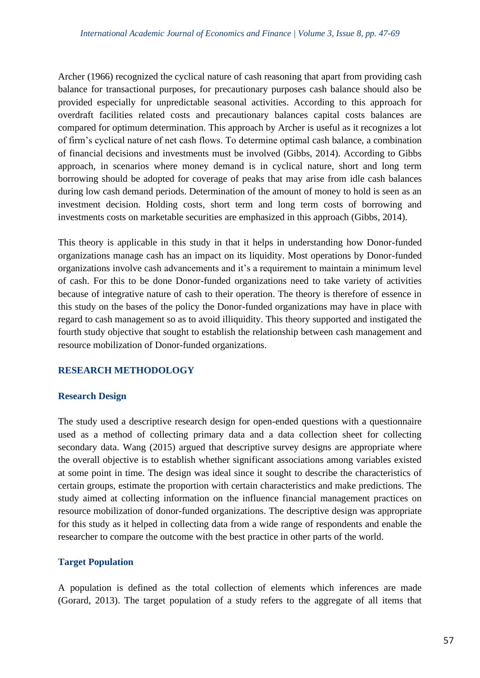Archer (1966) recognized the cyclical nature of cash reasoning that apart from providing cash balance for transactional purposes, for precautionary purposes cash balance should also be provided especially for unpredictable seasonal activities. According to this approach for overdraft facilities related costs and precautionary balances capital costs balances are compared for optimum determination. This approach by Archer is useful as it recognizes a lot of firm's cyclical nature of net cash flows. To determine optimal cash balance, a combination of financial decisions and investments must be involved (Gibbs, 2014). According to Gibbs approach, in scenarios where money demand is in cyclical nature, short and long term borrowing should be adopted for coverage of peaks that may arise from idle cash balances during low cash demand periods. Determination of the amount of money to hold is seen as an investment decision. Holding costs, short term and long term costs of borrowing and investments costs on marketable securities are emphasized in this approach (Gibbs, 2014).

This theory is applicable in this study in that it helps in understanding how Donor-funded organizations manage cash has an impact on its liquidity. Most operations by Donor-funded organizations involve cash advancements and it's a requirement to maintain a minimum level of cash. For this to be done Donor-funded organizations need to take variety of activities because of integrative nature of cash to their operation. The theory is therefore of essence in this study on the bases of the policy the Donor-funded organizations may have in place with regard to cash management so as to avoid illiquidity. This theory supported and instigated the fourth study objective that sought to establish the relationship between cash management and resource mobilization of Donor-funded organizations.

## **RESEARCH METHODOLOGY**

## **Research Design**

The study used a descriptive research design for open-ended questions with a questionnaire used as a method of collecting primary data and a data collection sheet for collecting secondary data. Wang (2015) argued that descriptive survey designs are appropriate where the overall objective is to establish whether significant associations among variables existed at some point in time. The design was ideal since it sought to describe the characteristics of certain groups, estimate the proportion with certain characteristics and make predictions. The study aimed at collecting information on the influence financial management practices on resource mobilization of donor-funded organizations. The descriptive design was appropriate for this study as it helped in collecting data from a wide range of respondents and enable the researcher to compare the outcome with the best practice in other parts of the world.

## **Target Population**

A population is defined as the total collection of elements which inferences are made (Gorard, 2013). The target population of a study refers to the aggregate of all items that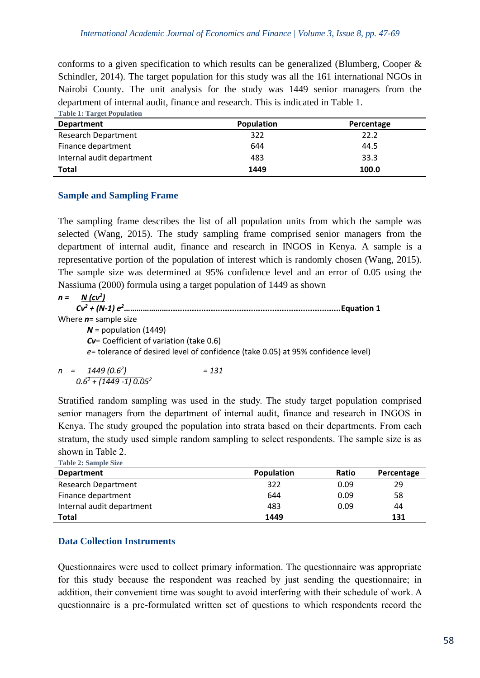conforms to a given specification to which results can be generalized (Blumberg, Cooper & Schindler, 2014). The target population for this study was all the 161 international NGOs in Nairobi County. The unit analysis for the study was 1449 senior managers from the department of internal audit, finance and research. This is indicated in Table 1. **Table 1: Target Population**

| <b>Population</b> | Percentage |
|-------------------|------------|
| 322               | 22.2       |
| 644               | 44.5       |
| 483               | 33.3       |
| 1449              | 100.0      |
|                   |            |

## **Sample and Sampling Frame**

The sampling frame describes the list of all population units from which the sample was selected (Wang, 2015). The study sampling frame comprised senior managers from the department of internal audit, finance and research in INGOS in Kenya. A sample is a representative portion of the population of interest which is randomly chosen (Wang, 2015). The sample size was determined at 95% confidence level and an error of 0.05 using the Nassiuma (2000) formula using a target population of 1449 as shown

*n = N (cv<sup>2</sup> ) Cv<sup>2</sup> + (N-1) e<sup>2</sup>***………………….........................................................................Equation 1** Where *n*= sample size *N* = population (1449) *Cv*= Coefficient of variation (take 0.6) *e*= tolerance of desired level of confidence (take 0.05) at 95% confidence level)

$$
n = 1449 (0.62) = 131
$$
  
0.6<sup>2</sup> + (1449 - 1) 0.05<sup>2</sup>

Stratified random sampling was used in the study. The study target population comprised senior managers from the department of internal audit, finance and research in INGOS in Kenya. The study grouped the population into strata based on their departments. From each stratum, the study used simple random sampling to select respondents. The sample size is as shown in Table 2.

| <b>Table 2: Sample Size</b> |                   |       |            |
|-----------------------------|-------------------|-------|------------|
| <b>Department</b>           | <b>Population</b> | Ratio | Percentage |
| <b>Research Department</b>  | 322               | 0.09  | 29         |
| Finance department          | 644               | 0.09  | 58         |
| Internal audit department   | 483               | 0.09  | 44         |
| Total                       | 1449              |       | 131        |

## **Data Collection Instruments**

Questionnaires were used to collect primary information. The questionnaire was appropriate for this study because the respondent was reached by just sending the questionnaire; in addition, their convenient time was sought to avoid interfering with their schedule of work. A questionnaire is a pre-formulated written set of questions to which respondents record the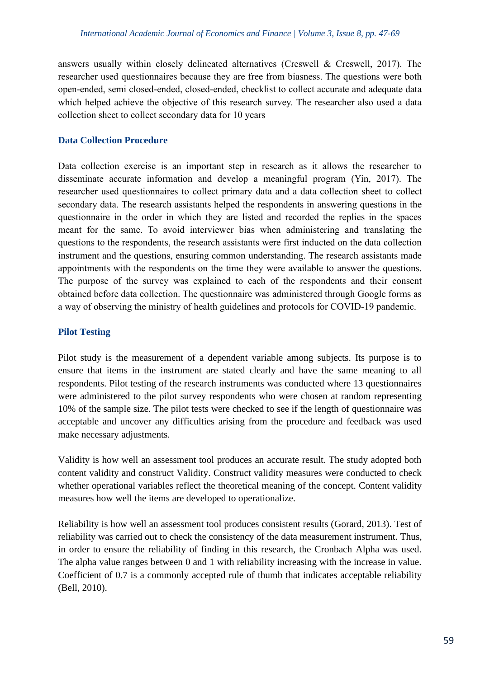answers usually within closely delineated alternatives (Creswell & Creswell, 2017). The researcher used questionnaires because they are free from biasness. The questions were both open-ended, semi closed-ended, closed-ended, checklist to collect accurate and adequate data which helped achieve the objective of this research survey. The researcher also used a data collection sheet to collect secondary data for 10 years

# **Data Collection Procedure**

Data collection exercise is an important step in research as it allows the researcher to disseminate accurate information and develop a meaningful program (Yin, 2017). The researcher used questionnaires to collect primary data and a data collection sheet to collect secondary data. The research assistants helped the respondents in answering questions in the questionnaire in the order in which they are listed and recorded the replies in the spaces meant for the same. To avoid interviewer bias when administering and translating the questions to the respondents, the research assistants were first inducted on the data collection instrument and the questions, ensuring common understanding. The research assistants made appointments with the respondents on the time they were available to answer the questions. The purpose of the survey was explained to each of the respondents and their consent obtained before data collection. The questionnaire was administered through Google forms as a way of observing the ministry of health guidelines and protocols for COVID-19 pandemic.

## **Pilot Testing**

Pilot study is the measurement of a dependent variable among subjects. Its purpose is to ensure that items in the instrument are stated clearly and have the same meaning to all respondents. Pilot testing of the research instruments was conducted where 13 questionnaires were administered to the pilot survey respondents who were chosen at random representing 10% of the sample size. The pilot tests were checked to see if the length of questionnaire was acceptable and uncover any difficulties arising from the procedure and feedback was used make necessary adjustments.

Validity is how well an assessment tool produces an accurate result. The study adopted both content validity and construct Validity. Construct validity measures were conducted to check whether operational variables reflect the theoretical meaning of the concept. Content validity measures how well the items are developed to operationalize.

Reliability is how well an assessment tool produces consistent results (Gorard, 2013). Test of reliability was carried out to check the consistency of the data measurement instrument. Thus, in order to ensure the reliability of finding in this research, the Cronbach Alpha was used. The alpha value ranges between 0 and 1 with reliability increasing with the increase in value. Coefficient of 0.7 is a commonly accepted rule of thumb that indicates acceptable reliability (Bell, 2010).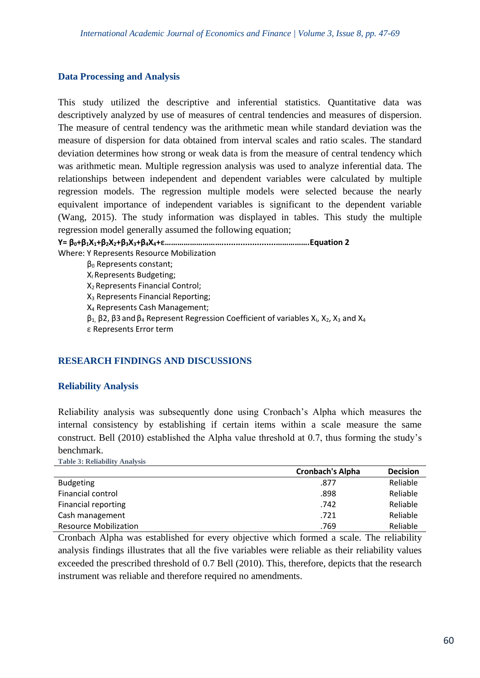#### **Data Processing and Analysis**

This study utilized the descriptive and inferential statistics. Quantitative data was descriptively analyzed by use of measures of central tendencies and measures of dispersion. The measure of central tendency was the arithmetic mean while standard deviation was the measure of dispersion for data obtained from interval scales and ratio scales. The standard deviation determines how strong or weak data is from the measure of central tendency which was arithmetic mean. Multiple regression analysis was used to analyze inferential data. The relationships between independent and dependent variables were calculated by multiple regression models. The regression multiple models were selected because the nearly equivalent importance of independent variables is significant to the dependent variable (Wang, 2015). The study information was displayed in tables. This study the multiple regression model generally assumed the following equation;

**Y= β0+β1X1+β2X2+β3X3+β4X4+ε……………………….......................…………….Equation 2** Where: Y Represents Resource Mobilization β<sup>0</sup> Represents constant; X<sub>I</sub> Represents Budgeting; X2 Represents Financial Control; X<sup>3</sup> Represents Financial Reporting; X<sup>4</sup> Represents Cash Management;  $β_1$ ,  $β2$ ,  $β3$  and  $β_4$  Represent Regression Coefficient of variables  $X_1$ ,  $X_2$ ,  $X_3$  and  $X_4$ ε Represents Error term

## **RESEARCH FINDINGS AND DISCUSSIONS**

## **Reliability Analysis**

Reliability analysis was subsequently done using Cronbach's Alpha which measures the internal consistency by establishing if certain items within a scale measure the same construct. Bell (2010) established the Alpha value threshold at 0.7, thus forming the study's benchmark.

**Table 3: Reliability Analysis**

|                              | <b>Cronbach's Alpha</b> | <b>Decision</b> |
|------------------------------|-------------------------|-----------------|
| <b>Budgeting</b>             | .877                    | Reliable        |
| Financial control            | .898                    | Reliable        |
| <b>Financial reporting</b>   | .742                    | Reliable        |
| Cash management              | .721                    | Reliable        |
| <b>Resource Mobilization</b> | .769                    | Reliable        |

Cronbach Alpha was established for every objective which formed a scale. The reliability analysis findings illustrates that all the five variables were reliable as their reliability values exceeded the prescribed threshold of 0.7 Bell (2010). This, therefore, depicts that the research instrument was reliable and therefore required no amendments.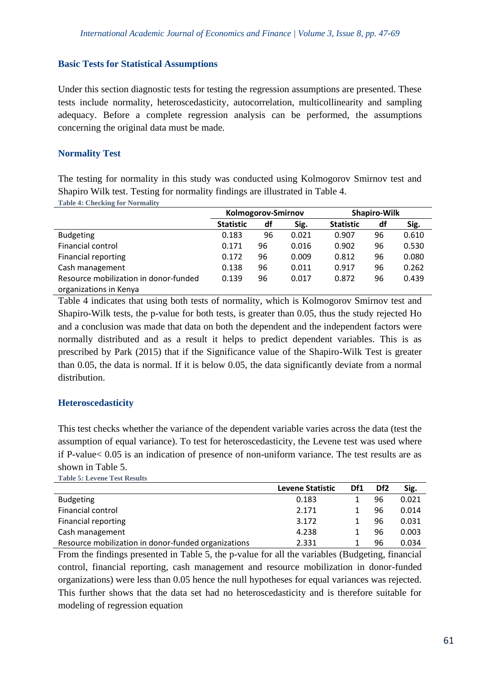## **Basic Tests for Statistical Assumptions**

Under this section diagnostic tests for testing the regression assumptions are presented. These tests include normality, heteroscedasticity, autocorrelation, multicollinearity and sampling adequacy. Before a complete regression analysis can be performed, the assumptions concerning the original data must be made.

# **Normality Test**

The testing for normality in this study was conducted using Kolmogorov Smirnov test and Shapiro Wilk test. Testing for normality findings are illustrated in Table 4.

| <b>Table 4: Checking for Normality</b> |  |  |  |  |  |  |  |
|----------------------------------------|--|--|--|--|--|--|--|
|----------------------------------------|--|--|--|--|--|--|--|

|                                       | Kolmogorov-Smirnov |    |       | <b>Shapiro-Wilk</b> |    |       |
|---------------------------------------|--------------------|----|-------|---------------------|----|-------|
|                                       | <b>Statistic</b>   | df | Sig.  | <b>Statistic</b>    | df | Sig.  |
| <b>Budgeting</b>                      | 0.183              | 96 | 0.021 | 0.907               | 96 | 0.610 |
| Financial control                     | 0.171              | 96 | 0.016 | 0.902               | 96 | 0.530 |
| Financial reporting                   | 0.172              | 96 | 0.009 | 0.812               | 96 | 0.080 |
| Cash management                       | 0.138              | 96 | 0.011 | 0.917               | 96 | 0.262 |
| Resource mobilization in donor-funded | 0.139              | 96 | 0.017 | 0.872               | 96 | 0.439 |
| organizations in Kenya                |                    |    |       |                     |    |       |

Table 4 indicates that using both tests of normality, which is Kolmogorov Smirnov test and Shapiro-Wilk tests, the p-value for both tests, is greater than 0.05, thus the study rejected Ho and a conclusion was made that data on both the dependent and the independent factors were normally distributed and as a result it helps to predict dependent variables. This is as prescribed by Park (2015) that if the Significance value of the Shapiro-Wilk Test is greater than 0.05, the data is normal. If it is below 0.05, the data significantly deviate from a normal distribution.

## **Heteroscedasticity**

This test checks whether the variance of the dependent variable varies across the data (test the assumption of equal variance). To test for heteroscedasticity, the Levene test was used where if P-value< 0.05 is an indication of presence of non-uniform variance. The test results are as shown in Table 5. **Table 5: Levene Test Results**

|                                                     | <b>Levene Statistic</b> | Df1 | Df <sub>2</sub> | Sig.  |
|-----------------------------------------------------|-------------------------|-----|-----------------|-------|
| <b>Budgeting</b>                                    | 0.183                   |     | 96              | 0.021 |
| Financial control                                   | 2.171                   |     | 96              | 0.014 |
| <b>Financial reporting</b>                          | 3.172                   |     | 96              | 0.031 |
| Cash management                                     | 4.238                   |     | 96              | 0.003 |
| Resource mobilization in donor-funded organizations | 2.331                   |     | 96              | 0.034 |

From the findings presented in Table 5, the p-value for all the variables (Budgeting, financial control, financial reporting, cash management and resource mobilization in donor-funded organizations) were less than 0.05 hence the null hypotheses for equal variances was rejected. This further shows that the data set had no heteroscedasticity and is therefore suitable for modeling of regression equation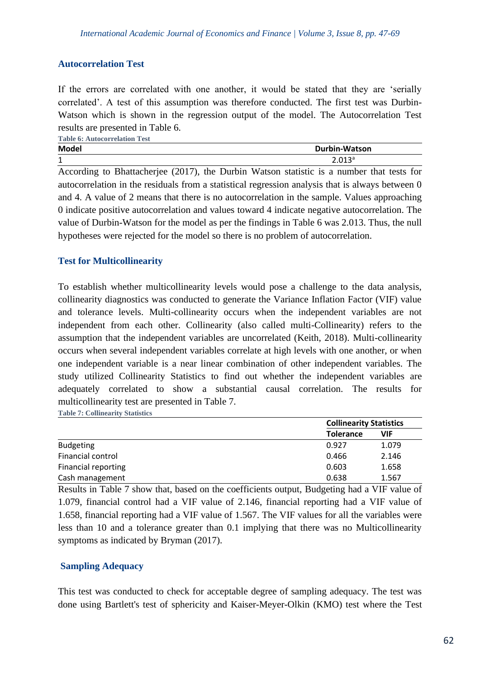# **Autocorrelation Test**

If the errors are correlated with one another, it would be stated that they are 'serially correlated'. A test of this assumption was therefore conducted. The first test was Durbin-Watson which is shown in the regression output of the model. The Autocorrelation Test results are presented in Table 6.

| <b>Table 6: Autocorrelation Test</b> |                      |
|--------------------------------------|----------------------|
| <b>Model</b>                         | <b>Durbin-Watson</b> |
| $\blacktriangleleft$<br>┻            | 2.013 <sup>a</sup>   |

According to Bhattacherjee (2017), the Durbin Watson statistic is a number that tests for autocorrelation in the residuals from a statistical regression analysis that is always between 0 and 4. A value of 2 means that there is no autocorrelation in the sample. Values approaching 0 indicate positive autocorrelation and values toward 4 indicate negative autocorrelation. The value of Durbin-Watson for the model as per the findings in Table 6 was 2.013. Thus, the null hypotheses were rejected for the model so there is no problem of autocorrelation.

# **Test for Multicollinearity**

To establish whether multicollinearity levels would pose a challenge to the data analysis, collinearity diagnostics was conducted to generate the Variance Inflation Factor (VIF) value and tolerance levels. Multi-collinearity occurs when the independent variables are not independent from each other. Collinearity (also called multi-Collinearity) refers to the assumption that the independent variables are uncorrelated (Keith, 2018). Multi-collinearity occurs when several independent variables correlate at high levels with one another, or when one independent variable is a near linear combination of other independent variables. The study utilized Collinearity Statistics to find out whether the independent variables are adequately correlated to show a substantial causal correlation. The results for multicollinearity test are presented in Table 7.

**Table 7: Collinearity Statistics**

|                            |                  | <b>Collinearity Statistics</b> |  |  |
|----------------------------|------------------|--------------------------------|--|--|
|                            | <b>Tolerance</b> | VIF                            |  |  |
| <b>Budgeting</b>           | 0.927            | 1.079                          |  |  |
| Financial control          | 0.466            | 2.146                          |  |  |
| <b>Financial reporting</b> | 0.603            | 1.658                          |  |  |
| Cash management            | 0.638            | 1.567                          |  |  |

Results in Table 7 show that, based on the coefficients output, Budgeting had a VIF value of 1.079, financial control had a VIF value of 2.146, financial reporting had a VIF value of 1.658, financial reporting had a VIF value of 1.567. The VIF values for all the variables were less than 10 and a tolerance greater than 0.1 implying that there was no Multicollinearity symptoms as indicated by Bryman (2017).

## **Sampling Adequacy**

This test was conducted to check for acceptable degree of sampling adequacy. The test was done using Bartlett's test of sphericity and Kaiser-Meyer-Olkin (KMO) test where the Test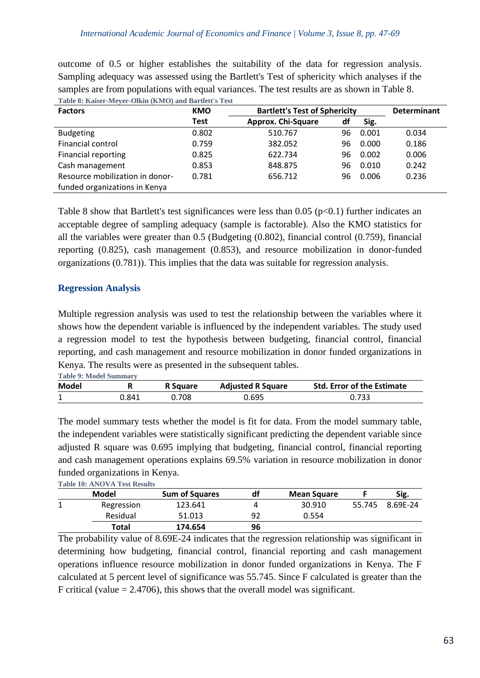outcome of 0.5 or higher establishes the suitability of the data for regression analysis. Sampling adequacy was assessed using the Bartlett's Test of sphericity which analyses if the samples are from populations with equal variances. The test results are as shown in Table 8. **Table 8: Kaiser-Meyer-Olkin (KMO) and Bartlett's Test**

| THOICO, THUDGE HECTCL QUILLE (THILLO) HUGH DUI HOU D'EVOU<br><b>Factors</b> | <b>KMO</b> | <b>Bartlett's Test of Sphericity</b> | <b>Determinant</b> |       |       |
|-----------------------------------------------------------------------------|------------|--------------------------------------|--------------------|-------|-------|
|                                                                             | Test       | Approx. Chi-Square                   | df                 | Sig.  |       |
| <b>Budgeting</b>                                                            | 0.802      | 510.767                              | 96                 | 0.001 | 0.034 |
| Financial control                                                           | 0.759      | 382.052                              | 96                 | 0.000 | 0.186 |
| <b>Financial reporting</b>                                                  | 0.825      | 622.734                              | 96                 | 0.002 | 0.006 |
| Cash management                                                             | 0.853      | 848.875                              | 96                 | 0.010 | 0.242 |
| Resource mobilization in donor-                                             | 0.781      | 656.712                              | 96                 | 0.006 | 0.236 |
| funded organizations in Kenya                                               |            |                                      |                    |       |       |

Table 8 show that Bartlett's test significances were less than  $0.05$  (p $< 0.1$ ) further indicates an acceptable degree of sampling adequacy (sample is factorable). Also the KMO statistics for all the variables were greater than 0.5 (Budgeting (0.802), financial control (0.759), financial reporting (0.825), cash management (0.853), and resource mobilization in donor-funded organizations (0.781)). This implies that the data was suitable for regression analysis.

# **Regression Analysis**

Multiple regression analysis was used to test the relationship between the variables where it shows how the dependent variable is influenced by the independent variables. The study used a regression model to test the hypothesis between budgeting, financial control, financial reporting, and cash management and resource mobilization in donor funded organizations in Kenya. The results were as presented in the subsequent tables. **Table 9: Model Summary**

| <b>Lable 9: Model Summary</b><br><b>Model</b> |       | R Square | <b>Adjusted R Square</b> | <b>Std. Error of the Estimate</b> |  |
|-----------------------------------------------|-------|----------|--------------------------|-----------------------------------|--|
|                                               | 0.841 | .708 ل   | 0.695                    | 0.733                             |  |

The model summary tests whether the model is fit for data. From the model summary table, the independent variables were statistically significant predicting the dependent variable since adjusted R square was 0.695 implying that budgeting, financial control, financial reporting and cash management operations explains 69.5% variation in resource mobilization in donor funded organizations in Kenya. **Table 10: ANOVA Test Results**

| TADIC TV. ATTO VALUEST RESULTS |                       |    |                    |        |          |
|--------------------------------|-----------------------|----|--------------------|--------|----------|
| Model                          | <b>Sum of Squares</b> | df | <b>Mean Square</b> |        | Sig.     |
| Regression                     | 123.641               |    | 30.910             | 55.745 | 8.69E-24 |
| Residual                       | 51.013                | 92 | 0.554              |        |          |
| Total                          | 174.654               | 96 |                    |        |          |

The probability value of 8.69E-24 indicates that the regression relationship was significant in determining how budgeting, financial control, financial reporting and cash management operations influence resource mobilization in donor funded organizations in Kenya. The F calculated at 5 percent level of significance was 55.745. Since F calculated is greater than the F critical (value  $= 2.4706$ ), this shows that the overall model was significant.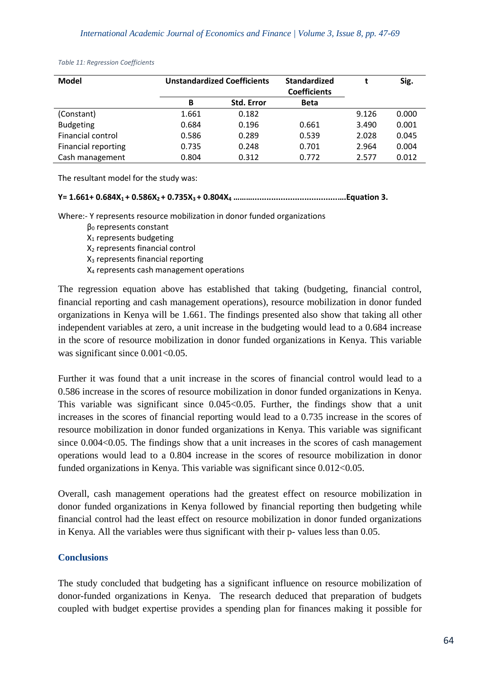| <b>Model</b>               | <b>Unstandardized Coefficients</b> |                   | <b>Standardized</b><br><b>Coefficients</b> |       | Sig.  |
|----------------------------|------------------------------------|-------------------|--------------------------------------------|-------|-------|
|                            | B                                  | <b>Std. Error</b> | <b>Beta</b>                                |       |       |
| (Constant)                 | 1.661                              | 0.182             |                                            | 9.126 | 0.000 |
| <b>Budgeting</b>           | 0.684                              | 0.196             | 0.661                                      | 3.490 | 0.001 |
| Financial control          | 0.586                              | 0.289             | 0.539                                      | 2.028 | 0.045 |
| <b>Financial reporting</b> | 0.735                              | 0.248             | 0.701                                      | 2.964 | 0.004 |
| Cash management            | 0.804                              | 0.312             | 0.772                                      | 2.577 | 0.012 |

*Table 11: Regression Coefficients* 

The resultant model for the study was:

#### **Y= 1.661+ 0.684X1 + 0.586X2 + 0.735X3 + 0.804X<sup>4</sup> ………....................................….Equation 3.**

Where:- Y represents resource mobilization in donor funded organizations

- β<sup>0</sup> represents constant X<sup>1</sup> represents budgeting X<sub>2</sub> represents financial control X<sup>3</sup> represents financial reporting
- X<sup>4</sup> represents cash management operations

The regression equation above has established that taking (budgeting, financial control, financial reporting and cash management operations), resource mobilization in donor funded organizations in Kenya will be 1.661. The findings presented also show that taking all other independent variables at zero, a unit increase in the budgeting would lead to a 0.684 increase in the score of resource mobilization in donor funded organizations in Kenya. This variable was significant since  $0.001<0.05$ .

Further it was found that a unit increase in the scores of financial control would lead to a 0.586 increase in the scores of resource mobilization in donor funded organizations in Kenya. This variable was significant since 0.045<0.05. Further, the findings show that a unit increases in the scores of financial reporting would lead to a 0.735 increase in the scores of resource mobilization in donor funded organizations in Kenya. This variable was significant since 0.004<0.05. The findings show that a unit increases in the scores of cash management operations would lead to a 0.804 increase in the scores of resource mobilization in donor funded organizations in Kenya. This variable was significant since 0.012<0.05.

Overall, cash management operations had the greatest effect on resource mobilization in donor funded organizations in Kenya followed by financial reporting then budgeting while financial control had the least effect on resource mobilization in donor funded organizations in Kenya. All the variables were thus significant with their p- values less than 0.05.

## **Conclusions**

The study concluded that budgeting has a significant influence on resource mobilization of donor-funded organizations in Kenya. The research deduced that preparation of budgets coupled with budget expertise provides a spending plan for finances making it possible for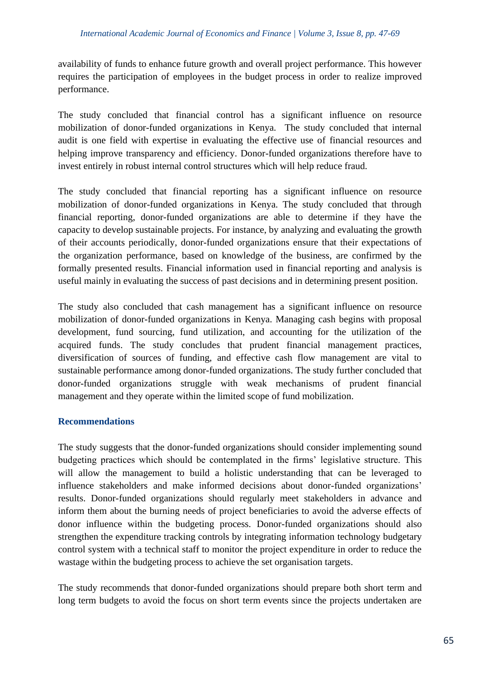availability of funds to enhance future growth and overall project performance. This however requires the participation of employees in the budget process in order to realize improved performance.

The study concluded that financial control has a significant influence on resource mobilization of donor-funded organizations in Kenya. The study concluded that internal audit is one field with expertise in evaluating the effective use of financial resources and helping improve transparency and efficiency. Donor-funded organizations therefore have to invest entirely in robust internal control structures which will help reduce fraud.

The study concluded that financial reporting has a significant influence on resource mobilization of donor-funded organizations in Kenya. The study concluded that through financial reporting, donor-funded organizations are able to determine if they have the capacity to develop sustainable projects. For instance, by analyzing and evaluating the growth of their accounts periodically, donor-funded organizations ensure that their expectations of the organization performance, based on knowledge of the business, are confirmed by the formally presented results. Financial information used in financial reporting and analysis is useful mainly in evaluating the success of past decisions and in determining present position.

The study also concluded that cash management has a significant influence on resource mobilization of donor-funded organizations in Kenya. Managing cash begins with proposal development, fund sourcing, fund utilization, and accounting for the utilization of the acquired funds. The study concludes that prudent financial management practices, diversification of sources of funding, and effective cash flow management are vital to sustainable performance among donor-funded organizations. The study further concluded that donor-funded organizations struggle with weak mechanisms of prudent financial management and they operate within the limited scope of fund mobilization.

## **Recommendations**

The study suggests that the donor-funded organizations should consider implementing sound budgeting practices which should be contemplated in the firms' legislative structure. This will allow the management to build a holistic understanding that can be leveraged to influence stakeholders and make informed decisions about donor-funded organizations' results. Donor-funded organizations should regularly meet stakeholders in advance and inform them about the burning needs of project beneficiaries to avoid the adverse effects of donor influence within the budgeting process. Donor-funded organizations should also strengthen the expenditure tracking controls by integrating information technology budgetary control system with a technical staff to monitor the project expenditure in order to reduce the wastage within the budgeting process to achieve the set organisation targets.

The study recommends that donor-funded organizations should prepare both short term and long term budgets to avoid the focus on short term events since the projects undertaken are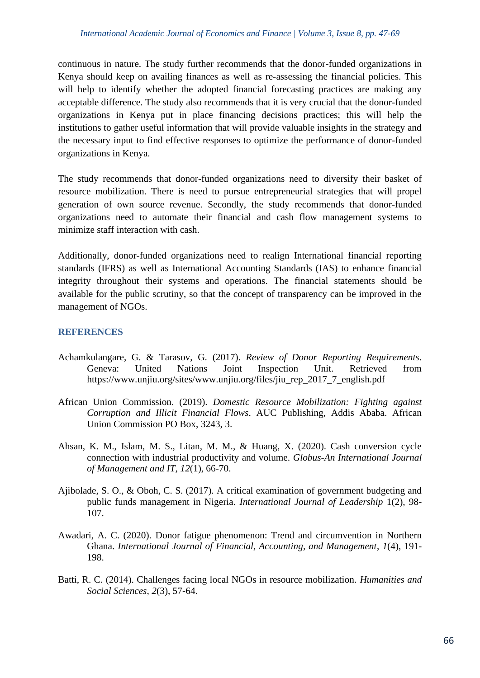continuous in nature. The study further recommends that the donor-funded organizations in Kenya should keep on availing finances as well as re-assessing the financial policies. This will help to identify whether the adopted financial forecasting practices are making any acceptable difference. The study also recommends that it is very crucial that the donor-funded organizations in Kenya put in place financing decisions practices; this will help the institutions to gather useful information that will provide valuable insights in the strategy and the necessary input to find effective responses to optimize the performance of donor-funded organizations in Kenya.

The study recommends that donor-funded organizations need to diversify their basket of resource mobilization. There is need to pursue entrepreneurial strategies that will propel generation of own source revenue. Secondly, the study recommends that donor-funded organizations need to automate their financial and cash flow management systems to minimize staff interaction with cash.

Additionally, donor-funded organizations need to realign International financial reporting standards (IFRS) as well as International Accounting Standards (IAS) to enhance financial integrity throughout their systems and operations. The financial statements should be available for the public scrutiny, so that the concept of transparency can be improved in the management of NGOs.

# **REFERENCES**

- Achamkulangare, G. & Tarasov, G. (2017). *Review of Donor Reporting Requirements*. Geneva: United Nations Joint Inspection Unit. Retrieved from https://www.unjiu.org/sites/www.unjiu.org/files/jiu\_rep\_2017\_7\_english.pdf
- African Union Commission. (2019). *Domestic Resource Mobilization: Fighting against Corruption and Illicit Financial Flows*. AUC Publishing, Addis Ababa. African Union Commission PO Box, 3243, 3.
- Ahsan, K. M., Islam, M. S., Litan, M. M., & Huang, X. (2020). Cash conversion cycle connection with industrial productivity and volume. *Globus-An International Journal of Management and IT*, *12*(1), 66-70.
- Ajibolade, S. O., & Oboh, C. S. (2017). A critical examination of government budgeting and public funds management in Nigeria. *International Journal of Leadership* 1(2), 98- 107.
- Awadari, A. C. (2020). Donor fatigue phenomenon: Trend and circumvention in Northern Ghana. *International Journal of Financial, Accounting, and Management*, *1*(4), 191- 198.
- Batti, R. C. (2014). Challenges facing local NGOs in resource mobilization. *Humanities and Social Sciences*, *2*(3), 57-64.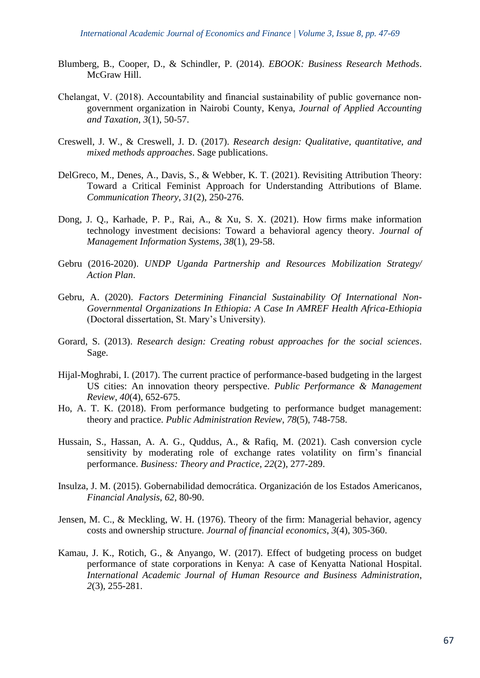- Blumberg, B., Cooper, D., & Schindler, P. (2014). *EBOOK: Business Research Methods*. McGraw Hill.
- Chelangat, V. (2018). Accountability and financial sustainability of public governance non‐ government organization in Nairobi County, Kenya, *Journal of Applied Accounting and Taxation*, *3*(1), 50-57.
- Creswell, J. W., & Creswell, J. D. (2017). *Research design: Qualitative, quantitative, and mixed methods approaches*. Sage publications.
- DelGreco, M., Denes, A., Davis, S., & Webber, K. T. (2021). Revisiting Attribution Theory: Toward a Critical Feminist Approach for Understanding Attributions of Blame. *Communication Theory*, *31*(2), 250-276.
- Dong, J. Q., Karhade, P. P., Rai, A., & Xu, S. X. (2021). How firms make information technology investment decisions: Toward a behavioral agency theory. *Journal of Management Information Systems*, *38*(1), 29-58.
- Gebru (2016-2020). *UNDP Uganda Partnership and Resources Mobilization Strategy/ Action Plan*.
- Gebru, A. (2020). *Factors Determining Financial Sustainability Of International Non-Governmental Organizations In Ethiopia: A Case In AMREF Health Africa-Ethiopia* (Doctoral dissertation, St. Mary's University).
- Gorard, S. (2013). *Research design: Creating robust approaches for the social sciences*. Sage.
- Hijal-Moghrabi, I. (2017). The current practice of performance-based budgeting in the largest US cities: An innovation theory perspective. *Public Performance & Management Review*, *40*(4), 652-675.
- Ho, A. T. K. (2018). From performance budgeting to performance budget management: theory and practice. *Public Administration Review*, *78*(5), 748-758.
- Hussain, S., Hassan, A. A. G., Quddus, A., & Rafiq, M. (2021). Cash conversion cycle sensitivity by moderating role of exchange rates volatility on firm's financial performance. *Business: Theory and Practice*, *22*(2), 277-289.
- Insulza, J. M. (2015). Gobernabilidad democrática. Organización de los Estados Americanos, *Financial Analysis*, *62*, 80-90.
- Jensen, M. C., & Meckling, W. H. (1976). Theory of the firm: Managerial behavior, agency costs and ownership structure. *Journal of financial economics*, *3*(4), 305-360.
- Kamau, J. K., Rotich, G., & Anyango, W. (2017). Effect of budgeting process on budget performance of state corporations in Kenya: A case of Kenyatta National Hospital. *International Academic Journal of Human Resource and Business Administration*, *2*(3), 255-281.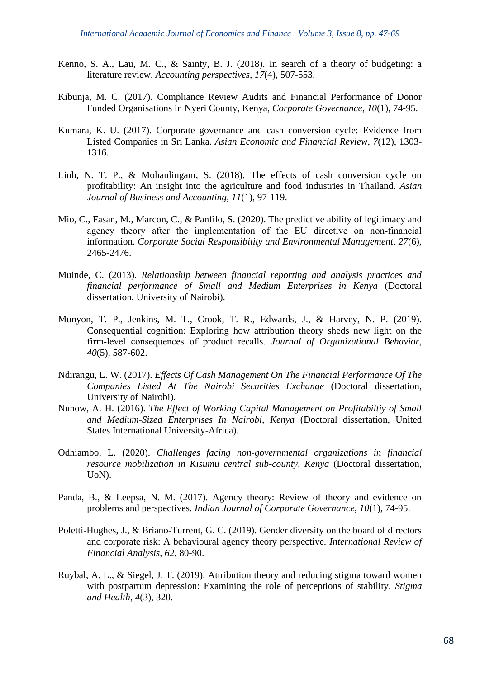- Kenno, S. A., Lau, M. C., & Sainty, B. J. (2018). In search of a theory of budgeting: a literature review. *Accounting perspectives*, *17*(4), 507-553.
- Kibunja, M. C. (2017). Compliance Review Audits and Financial Performance of Donor Funded Organisations in Nyeri County, Kenya, *Corporate Governance*, *10*(1), 74-95.
- Kumara, K. U. (2017). Corporate governance and cash conversion cycle: Evidence from Listed Companies in Sri Lanka. *Asian Economic and Financial Review*, *7*(12), 1303- 1316.
- Linh, N. T. P., & Mohanlingam, S. (2018). The effects of cash conversion cycle on profitability: An insight into the agriculture and food industries in Thailand. *Asian Journal of Business and Accounting*, *11*(1), 97-119.
- Mio, C., Fasan, M., Marcon, C., & Panfilo, S. (2020). The predictive ability of legitimacy and agency theory after the implementation of the EU directive on non‐financial information. *Corporate Social Responsibility and Environmental Management*, *27*(6), 2465-2476.
- Muinde, C. (2013). *Relationship between financial reporting and analysis practices and financial performance of Small and Medium Enterprises in Kenya* (Doctoral dissertation, University of Nairobi).
- Munyon, T. P., Jenkins, M. T., Crook, T. R., Edwards, J., & Harvey, N. P. (2019). Consequential cognition: Exploring how attribution theory sheds new light on the firm‐level consequences of product recalls. *Journal of Organizational Behavior*, *40*(5), 587-602.
- Ndirangu, L. W. (2017). *Effects Of Cash Management On The Financial Performance Of The Companies Listed At The Nairobi Securities Exchange* (Doctoral dissertation, University of Nairobi).
- Nunow, A. H. (2016). *The Effect of Working Capital Management on Profitabiltiy of Small and Medium-Sized Enterprises In Nairobi, Kenya* (Doctoral dissertation, United States International University-Africa).
- Odhiambo, L. (2020). *Challenges facing non-governmental organizations in financial resource mobilization in Kisumu central sub-county, Kenya* (Doctoral dissertation, UoN).
- Panda, B., & Leepsa, N. M. (2017). Agency theory: Review of theory and evidence on problems and perspectives. *Indian Journal of Corporate Governance*, *10*(1), 74-95.
- Poletti-Hughes, J., & Briano-Turrent, G. C. (2019). Gender diversity on the board of directors and corporate risk: A behavioural agency theory perspective. *International Review of Financial Analysis*, *62*, 80-90.
- Ruybal, A. L., & Siegel, J. T. (2019). Attribution theory and reducing stigma toward women with postpartum depression: Examining the role of perceptions of stability. *Stigma and Health*, *4*(3), 320.